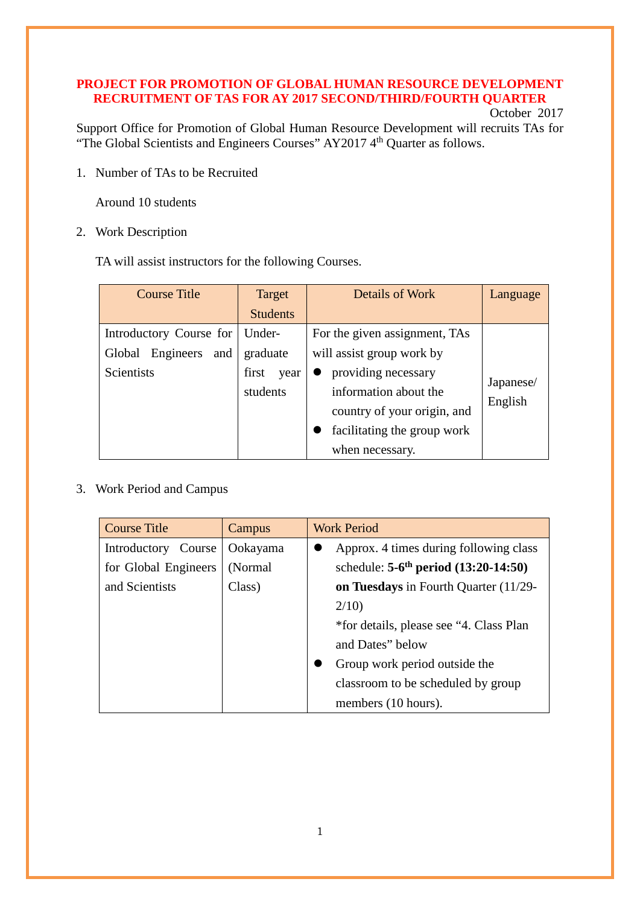# **PROJECT FOR PROMOTION OF GLOBAL HUMAN RESOURCE DEVELOPMENT RECRUITMENT OF TAS FOR AY 2017 SECOND/THIRD/FOURTH QUARTER**

## October 2017

Support Office for Promotion of Global Human Resource Development will recruits TAs for "The Global Scientists and Engineers Courses" AY2017 4<sup>th</sup> Quarter as follows.

1. Number of TAs to be Recruited

Around 10 students

2. Work Description

TA will assist instructors for the following Courses.

| <b>Course Title</b>              | Target          | Details of Work               | Language  |
|----------------------------------|-----------------|-------------------------------|-----------|
|                                  | <b>Students</b> |                               |           |
| Introductory Course for   Under- |                 | For the given assignment, TAs |           |
| Global Engineers<br>and          | graduate        | will assist group work by     |           |
| Scientists                       | first<br>year   | providing necessary           |           |
|                                  | students        | information about the         | Japanese/ |
|                                  |                 | country of your origin, and   | English   |
|                                  |                 | facilitating the group work   |           |
|                                  |                 | when necessary.               |           |

## 3. Work Period and Campus

| <b>Course Title</b>  | Campus   | <b>Work Period</b>                                   |
|----------------------|----------|------------------------------------------------------|
| Introductory Course  | Ookayama | Approx. 4 times during following class               |
| for Global Engineers | (Normal) | schedule: $5-6$ <sup>th</sup> period $(13:20-14:50)$ |
| and Scientists       | Class)   | on Tuesdays in Fourth Quarter (11/29-                |
|                      |          | 2/10                                                 |
|                      |          | *for details, please see "4. Class Plan              |
|                      |          | and Dates" below                                     |
|                      |          | Group work period outside the                        |
|                      |          | classroom to be scheduled by group                   |
|                      |          | members (10 hours).                                  |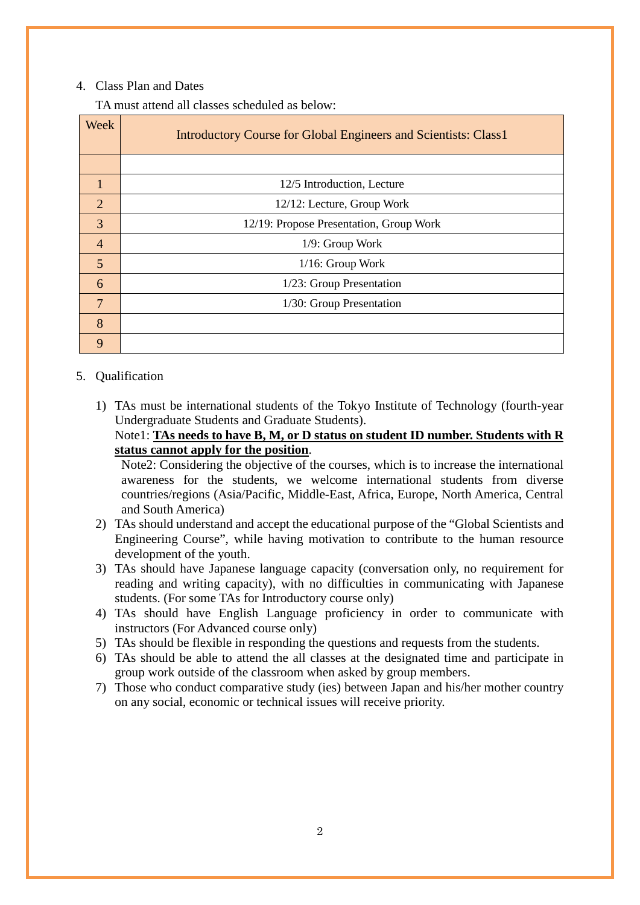### 4. Class Plan and Dates

TA must attend all classes scheduled as below:

| Week           | Introductory Course for Global Engineers and Scientists: Class1 |
|----------------|-----------------------------------------------------------------|
|                |                                                                 |
| 1              | 12/5 Introduction, Lecture                                      |
| $\overline{2}$ | 12/12: Lecture, Group Work                                      |
| 3              | 12/19: Propose Presentation, Group Work                         |
| $\overline{4}$ | $1/9$ : Group Work                                              |
| 5              | $1/16$ : Group Work                                             |
| 6              | 1/23: Group Presentation                                        |
| 7              | 1/30: Group Presentation                                        |
| 8              |                                                                 |
| 9              |                                                                 |

#### 5. Qualification

1) TAs must be international students of the Tokyo Institute of Technology (fourth-year Undergraduate Students and Graduate Students).

## Note1: **TAs needs to have B, M, or D status on student ID number. Students with R status cannot apply for the position**.

Note2: Considering the objective of the courses, which is to increase the international awareness for the students, we welcome international students from diverse countries/regions (Asia/Pacific, Middle-East, Africa, Europe, North America, Central and South America)

- 2) TAs should understand and accept the educational purpose of the "Global Scientists and Engineering Course", while having motivation to contribute to the human resource development of the youth.
- 3) TAs should have Japanese language capacity (conversation only, no requirement for reading and writing capacity), with no difficulties in communicating with Japanese students. (For some TAs for Introductory course only)
- 4) TAs should have English Language proficiency in order to communicate with instructors (For Advanced course only)
- 5) TAs should be flexible in responding the questions and requests from the students.
- 6) TAs should be able to attend the all classes at the designated time and participate in group work outside of the classroom when asked by group members.
- 7) Those who conduct comparative study (ies) between Japan and his/her mother country on any social, economic or technical issues will receive priority.